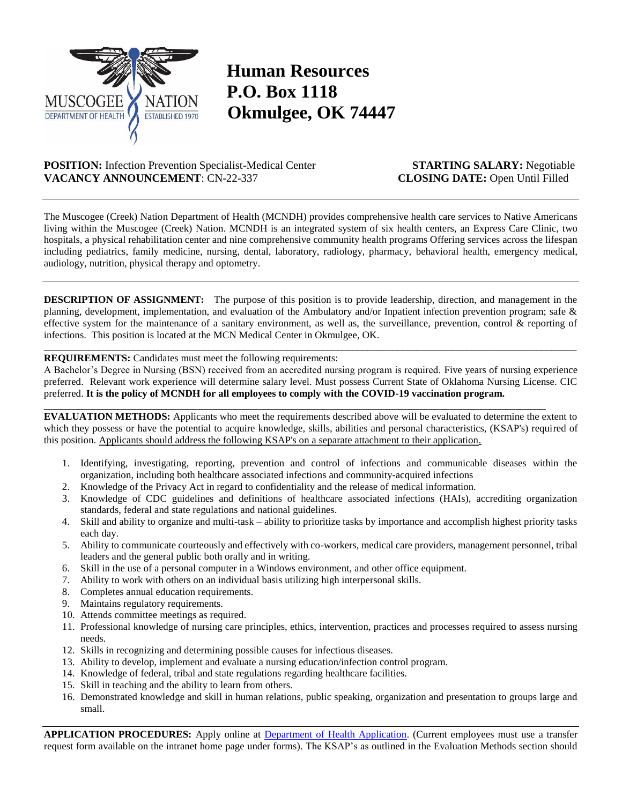

## **Human Resources P.O. Box 1118 Okmulgee, OK 74447**

**POSITION:** Infection Prevention Specialist-Medical Center **STARTING SALARY:** Negotiable **VACANCY ANNOUNCEMENT**: CN-22-337 **CLOSING DATE:** Open Until Filled

The Muscogee (Creek) Nation Department of Health (MCNDH) provides comprehensive health care services to Native Americans living within the Muscogee (Creek) Nation. MCNDH is an integrated system of six health centers, an Express Care Clinic, two hospitals, a physical rehabilitation center and nine comprehensive community health programs Offering services across the lifespan including pediatrics, family medicine, nursing, dental, laboratory, radiology, pharmacy, behavioral health, emergency medical, audiology, nutrition, physical therapy and optometry.

**DESCRIPTION OF ASSIGNMENT:** The purpose of this position is to provide leadership, direction, and management in the planning, development, implementation, and evaluation of the Ambulatory and/or Inpatient infection prevention program; safe & effective system for the maintenance of a sanitary environment, as well as, the surveillance, prevention, control & reporting of infections. This position is located at the MCN Medical Center in Okmulgee, OK.

 $\_$  ,  $\_$  ,  $\_$  ,  $\_$  ,  $\_$  ,  $\_$  ,  $\_$  ,  $\_$  ,  $\_$  ,  $\_$  ,  $\_$  ,  $\_$  ,  $\_$  ,  $\_$  ,  $\_$  ,  $\_$  ,  $\_$  ,  $\_$  ,  $\_$  ,  $\_$  ,  $\_$  ,  $\_$  ,  $\_$  ,  $\_$  ,  $\_$  ,  $\_$  ,  $\_$  ,  $\_$  ,  $\_$  ,  $\_$  ,  $\_$  ,  $\_$  ,  $\_$  ,  $\_$  ,  $\_$  ,  $\_$  ,  $\_$  ,

## **REQUIREMENTS:** Candidates must meet the following requirements:

A Bachelor's Degree in Nursing (BSN) received from an accredited nursing program is required. Five years of nursing experience preferred. Relevant work experience will determine salary level. Must possess Current State of Oklahoma Nursing License. CIC preferred. **It is the policy of MCNDH for all employees to comply with the COVID-19 vaccination program.**

**\_\_\_\_\_\_\_\_\_\_\_\_\_\_\_\_\_\_\_\_\_\_\_\_\_\_\_\_\_\_\_\_\_\_\_\_\_\_\_\_\_\_\_\_\_\_\_\_\_\_\_\_\_\_\_\_\_\_\_\_\_\_\_\_\_\_\_\_\_\_\_\_\_\_\_\_\_\_\_\_\_\_\_\_\_\_\_\_\_\_\_\_\_\_\_\_\_\_\_**

**EVALUATION METHODS:** Applicants who meet the requirements described above will be evaluated to determine the extent to which they possess or have the potential to acquire knowledge, skills, abilities and personal characteristics, (KSAP's) required of this position. Applicants should address the following KSAP's on a separate attachment to their application.

- 1. Identifying, investigating, reporting, prevention and control of infections and communicable diseases within the organization, including both healthcare associated infections and community-acquired infections
- 2. Knowledge of the Privacy Act in regard to confidentiality and the release of medical information.
- 3. Knowledge of CDC guidelines and definitions of healthcare associated infections (HAIs), accrediting organization standards, federal and state regulations and national guidelines.
- 4. Skill and ability to organize and multi-task ability to prioritize tasks by importance and accomplish highest priority tasks each day.
- 5. Ability to communicate courteously and effectively with co-workers, medical care providers, management personnel, tribal leaders and the general public both orally and in writing.
- 6. Skill in the use of a personal computer in a Windows environment, and other office equipment.
- 7. Ability to work with others on an individual basis utilizing high interpersonal skills.
- 8. Completes annual education requirements.
- 9. Maintains regulatory requirements.
- 10. Attends committee meetings as required.
- 11. Professional knowledge of nursing care principles, ethics, intervention, practices and processes required to assess nursing needs.
- 12. Skills in recognizing and determining possible causes for infectious diseases.
- 13. Ability to develop, implement and evaluate a nursing education/infection control program.
- 14. Knowledge of federal, tribal and state regulations regarding healthcare facilities.
- 15. Skill in teaching and the ability to learn from others.
- 16. Demonstrated knowledge and skill in human relations, public speaking, organization and presentation to groups large and small.

**APPLICATION PROCEDURES:** Apply online at [Department of Health Application.](https://clouda.lincware.com/clouda/doc/run/creekhealth/CreekHealth_EmpApp) (Current employees must use a transfer request form available on the intranet home page under forms). The KSAP's as outlined in the Evaluation Methods section should